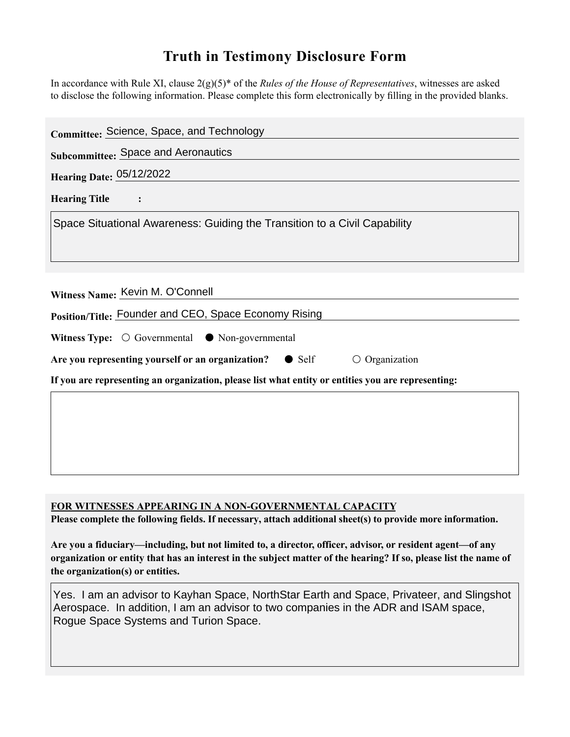## **Truth in Testimony Disclosure Form**

In accordance with Rule XI, clause 2(g)(5)\* of the *Rules of the House of Representatives*, witnesses are asked to disclose the following information. Please complete this form electronically by filling in the provided blanks.

| Committee: Science, Space, and Technology                                                          |
|----------------------------------------------------------------------------------------------------|
| <b>Subcommittee: Space and Aeronautics</b>                                                         |
| <b>Hearing Date: 05/12/2022</b>                                                                    |
| <b>Hearing Title</b>                                                                               |
| Space Situational Awareness: Guiding the Transition to a Civil Capability                          |
|                                                                                                    |
|                                                                                                    |
| Witness Name: Kevin M. O'Connell                                                                   |
| Position/Title: Founder and CEO, Space Economy Rising                                              |
| Witness Type: $\bigcirc$ Governmental $\bullet$ Non-governmental                                   |
| Are you representing yourself or an organization?<br>$\circ$ Organization<br>$\bullet$ Self        |
| If you are representing an organization, please list what entity or entities you are representing: |
|                                                                                                    |
|                                                                                                    |
|                                                                                                    |
|                                                                                                    |

## **FOR WITNESSES APPEARING IN A NON-GOVERNMENTAL CAPACITY**

**Please complete the following fields. If necessary, attach additional sheet(s) to provide more information.**

**Are you a fiduciary—including, but not limited to, a director, officer, advisor, or resident agent—of any organization or entity that has an interest in the subject matter of the hearing? If so, please list the name of the organization(s) or entities.**

Yes. I am an advisor to Kayhan Space, NorthStar Earth and Space, Privateer, and Slingshot Aerospace. In addition, I am an advisor to two companies in the ADR and ISAM space, Rogue Space Systems and Turion Space.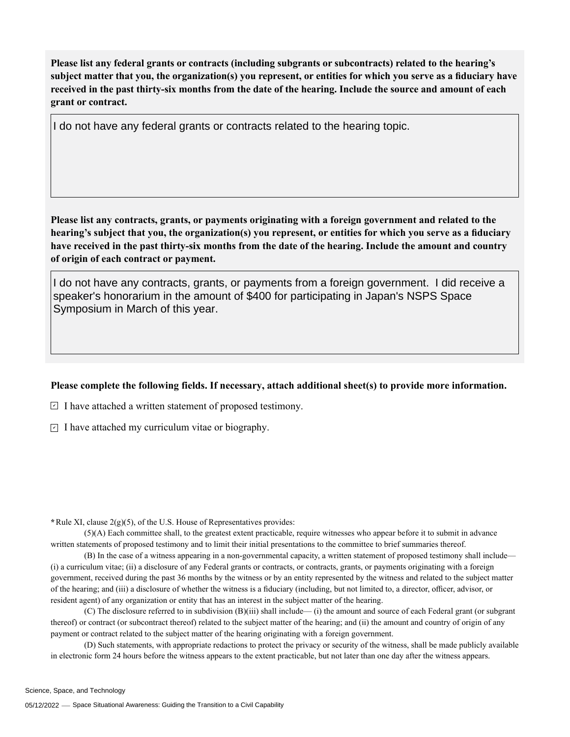**Please list any federal grants or contracts (including subgrants or subcontracts) related to the hearing's subject matter that you, the organization(s) you represent, or entities for which you serve as a fiduciary have received in the past thirty-six months from the date of the hearing. Include the source and amount of each grant or contract.** 

**Please list any contracts, grants, or payments originating with a foreign government and related to the hearing's subject that you, the organization(s) you represent, or entities for which you serve as a fiduciary have received in the past thirty-six months from the date of the hearing. Include the amount and country of origin of each contract or payment.**  I do not have any federal grants or contracts related to the hearing topic.<br>Please list any contracts, grants, or payments originating with a foreign government and related to the<br>nearing's subject that you, the organizati

speaker's honorarium in the amount of \$400 for participating in Japan's NSPS Space Symposium in March of this year.

## **Please complete the following fields. If necessary, attach additional sheet(s) to provide more information.**

 $\exists$  I have attached a written statement of proposed testimony.

 $\subseteq$  I have attached my curriculum vitae or biography.

**\***Rule XI, clause 2(g)(5), of the U.S. House of Representatives provides:

(5)(A) Each committee shall, to the greatest extent practicable, require witnesses who appear before it to submit in advance written statements of proposed testimony and to limit their initial presentations to the committee to brief summaries thereof.

(B) In the case of a witness appearing in a non-governmental capacity, a written statement of proposed testimony shall include— (i) a curriculum vitae; (ii) a disclosure of any Federal grants or contracts, or contracts, grants, or payments originating with a foreign government, received during the past 36 months by the witness or by an entity represented by the witness and related to the subject matter of the hearing; and (iii) a disclosure of whether the witness is a fiduciary (including, but not limited to, a director, officer, advisor, or resident agent) of any organization or entity that has an interest in the subject matter of the hearing.

(C) The disclosure referred to in subdivision (B)(iii) shall include— (i) the amount and source of each Federal grant (or subgrant thereof) or contract (or subcontract thereof) related to the subject matter of the hearing; and (ii) the amount and country of origin of any payment or contract related to the subject matter of the hearing originating with a foreign government.

(D) Such statements, with appropriate redactions to protect the privacy or security of the witness, shall be made publicly available in electronic form 24 hours before the witness appears to the extent practicable, but not later than one day after the witness appears.